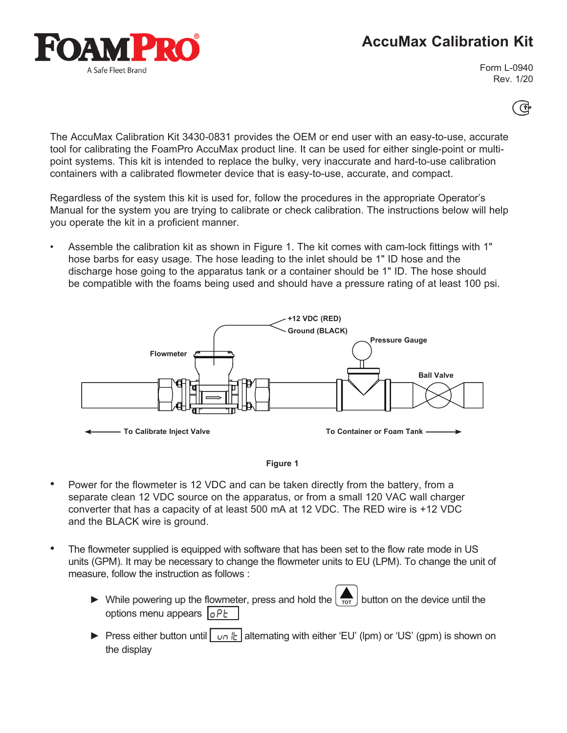## **AccuMax Calibration Kit**



Form L-0940 Rev. 1/20

Œ

The AccuMax Calibration Kit 3430-0831 provides the OEM or end user with an easy-to-use, accurate tool for calibrating the FoamPro AccuMax product line. It can be used for either single-point or multipoint systems. This kit is intended to replace the bulky, very inaccurate and hard-to-use calibration containers with a calibrated flowmeter device that is easy-to-use, accurate, and compact.

Regardless of the system this kit is used for, follow the procedures in the appropriate Operator's Manual for the system you are trying to calibrate or check calibration. The instructions below will help you operate the kit in a proficient manner.

• Assemble the calibration kit as shown in Figure 1. The kit comes with cam-lock fittings with 1" hose barbs for easy usage. The hose leading to the inlet should be 1" ID hose and the discharge hose going to the apparatus tank or a container should be 1" ID. The hose should be compatible with the foams being used and should have a pressure rating of at least 100 psi.





- Power for the flowmeter is 12 VDC and can be taken directly from the battery, from a separate clean 12 VDC source on the apparatus, or from a small 120 VAC wall charger converter that has a capacity of at least 500 mA at 12 VDC. The RED wire is +12 VDC and the BLACK wire is ground.
- The flowmeter supplied is equipped with software that has been set to the flow rate mode in US units (GPM). It may be necessary to change the flowmeter units to EU (LPM). To change the unit of measure, follow the instruction as follows :
	- $\triangleright$  While powering up the flowmeter, press and hold the  $\left\lfloor \frac{1}{\text{tot}} \right\rfloor$  button on the device until the options menu appears  $\int_{0}^{1} P E$
	- ► Press either button until | un l<sup>ll</sup> alternating with either 'EU' (lpm) or 'US' (gpm) is shown on the display